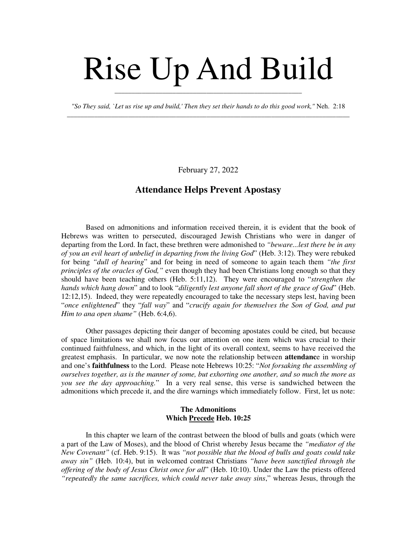# Rise Up And Build

*"So They said, `Let us rise up and build,' Then they set their hands to do this good work,"* Neh. 2:18 \_\_\_\_\_\_\_\_\_\_\_\_\_\_\_\_\_\_\_\_\_\_\_\_\_\_\_\_\_\_\_\_\_\_\_\_\_\_\_\_\_\_\_\_\_\_\_\_\_\_\_\_\_\_\_\_\_\_\_\_\_\_\_\_\_\_\_\_\_\_\_\_\_\_\_\_\_\_\_\_\_\_\_

\_\_\_\_\_\_\_\_\_\_\_\_\_\_\_\_\_\_\_\_\_\_\_\_\_\_\_\_\_\_\_\_\_\_\_\_\_\_\_\_\_\_\_\_\_\_\_\_\_\_\_\_\_\_\_

February 27, 2022

## **Attendance Helps Prevent Apostasy**

Based on admonitions and information received therein, it is evident that the book of Hebrews was written to persecuted, discouraged Jewish Christians who were in danger of departing from the Lord. In fact, these brethren were admonished to *"beware...lest there be in any of you an evil heart of unbelief in departing from the living God*" (Heb. 3:12). They were rebuked for being *"dull of hearing*" and for being in need of someone to again teach them *"the first principles of the oracles of God,"* even though they had been Christians long enough so that they should have been teaching others (Heb. 5:11,12). They were encouraged to "*strengthen the hands which hang down*" and to look "*diligently lest anyone fall short of the grace of God*" (Heb. 12:12,15). Indeed, they were repeatedly encouraged to take the necessary steps lest, having been "*once enlightened*" they "*fall way*" and "*crucify again for themselves the Son of God, and put Him to ana open shame"* (Heb. 6:4,6).

Other passages depicting their danger of becoming apostates could be cited, but because of space limitations we shall now focus our attention on one item which was crucial to their continued faithfulness, and which, in the light of its overall context, seems to have received the greatest emphasis. In particular, we now note the relationship between **attendanc**e in worship and one's **faithfulness** to the Lord. Please note Hebrews 10:25: "*Not forsaking the assembling of ourselves together, as is the manner of some, but exhorting one another, and so much the more as you see the day approaching.*" In a very real sense, this verse is sandwiched between the admonitions which precede it, and the dire warnings which immediately follow. First, let us note:

### **The Admonitions Which Precede Heb. 10:25**

In this chapter we learn of the contrast between the blood of bulls and goats (which were a part of the Law of Moses), and the blood of Christ whereby Jesus became the *"mediator of the New Covenant"* (cf. Heb. 9:15). It was *"not possible that the blood of bulls and goats could take away sin"* (Heb. 10:4), but in welcomed contrast Christians *"have been sanctified through the offering of the body of Jesus Christ once for all*" (Heb. 10:10). Under the Law the priests offered *"repeatedly the same sacrifices, which could never take away sins*," whereas Jesus, through the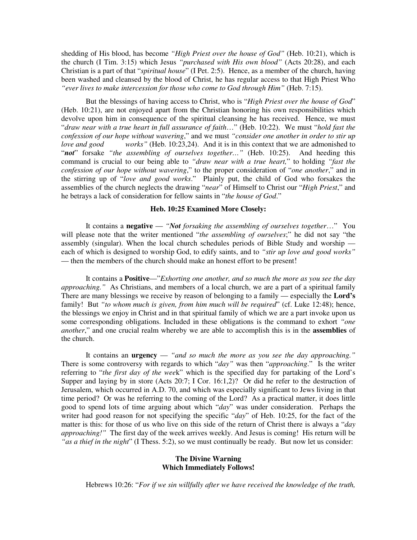shedding of His blood, has become *"High Priest over the house of God"* (Heb. 10:21), which is the church (I Tim. 3:15) which Jesus *"purchased with His own blood"* (Acts 20:28), and each Christian is a part of that "*spiritual house*" (I Pet. 2:5). Hence, as a member of the church, having been washed and cleansed by the blood of Christ, he has regular access to that High Priest Who *"ever lives to make intercession for those who come to God through Him"* (Heb. 7:15).

But the blessings of having access to Christ, who is "*High Priest over the house of God*" (Heb. 10:21), are not enjoyed apart from the Christian honoring his own responsibilities which devolve upon him in consequence of the spiritual cleansing he has received. Hence, we must "*draw near with a true heart in full assurance of faith*…" (Heb. 10:22). We must "*hold fast the confession of our hope without wavering*," and we must *"consider one another in order to stir up love and good works"* (Heb. 10:23,24). And it is in this context that we are admonished to "*not*" forsake *"the assembling of ourselves together…"* (Heb. 10:25). And heeding this command is crucial to our being able to *"draw near with a true heart,*" to holding *"fast the confession of our hope without wavering*," to the proper consideration of "*one another*," and in the stirring up of "*love and good works*." Plainly put, the child of God who forsakes the assemblies of the church neglects the drawing "*near*" of Himself to Christ our "*High Priest*," and he betrays a lack of consideration for fellow saints in "*the house of God*."

#### **Heb. 10:25 Examined More Closely:**

It contains a **negative** — *"Not forsaking the assembling of ourselves together*…" You will please note that the writer mentioned "*the assembling of ourselves*;" he did not say "the assembly (singular). When the local church schedules periods of Bible Study and worship each of which is designed to worship God, to edify saints, and to *"stir up love and good works"* — then the members of the church should make an honest effort to be present!

It contains a **Positive**—"*Exhorting one another, and so much the more as you see the day approaching."* As Christians, and members of a local church, we are a part of a spiritual family There are many blessings we receive by reason of belonging to a family — especially the **Lord's** family! But *"to whom much is given, from him much will be required*" (cf. Luke 12:48); hence, the blessings we enjoy in Christ and in that spiritual family of which we are a part invoke upon us some corresponding obligations. Included in these obligations is the command to exhort *"one another*," and one crucial realm whereby we are able to accomplish this is in the **assemblies** of the church.

It contains an **urgency** — *"and so much the more as you see the day approaching."* There is some controversy with regards to which "*day"* was then "*approaching*." Is the writer referring to "*the first day of the wee*k" which is the specified day for partaking of the Lord's Supper and laying by in store (Acts 20:7; I Cor. 16:1,2)? Or did he refer to the destruction of Jerusalem, which occurred in A.D. 70, and which was especially significant to Jews living in that time period? Or was he referring to the coming of the Lord? As a practical matter, it does little good to spend lots of time arguing about which "*day*" was under consideration. Perhaps the writer had good reason for not specifying the specific "*day*" of Heb. 10:25, for the fact of the matter is this: for those of us who live on this side of the return of Christ there is always a "*day approaching!"* The first day of the week arrives weekly. And Jesus is coming! His return will be *"as a thief in the night*" (I Thess. 5:2), so we must continually be ready. But now let us consider:

#### **The Divine Warning Which Immediately Follows!**

Hebrews 10:26: "*For if we sin willfully after we have received the knowledge of the truth,*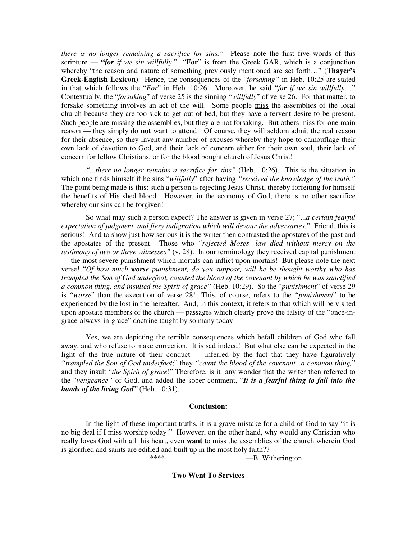*there is no longer remaining a sacrifice for sins."* Please note the first five words of this scripture — **"***for if we sin willfully*." "**For**" is from the Greek GAR, which is a conjunction whereby "the reason and nature of something previously mentioned are set forth…" (**Thayer's Greek-English Lexicon**). Hence, the consequences of the "*forsaking"* in Heb. 10:25 are stated in that which follows the "*For*" in Heb. 10:26. Moreover, he said "*for if we sin willfully*…" Contextually, the "*forsaking*" of verse 25 is the sinning "*willfully*" of verse 26. For that matter, to forsake something involves an act of the will. Some people miss the assemblies of the local church because they are too sick to get out of bed, but they have a fervent desire to be present. Such people are missing the assemblies, but they are not forsaking. But others miss for one main reason — they simply do **not** want to attend! Of course, they will seldom admit the real reason for their absence, so they invent any number of excuses whereby they hope to camouflage their own lack of devotion to God, and their lack of concern either for their own soul, their lack of concern for fellow Christians, or for the blood bought church of Jesus Christ!

*"...there no longer remains a sacrifice for sins"* (Heb. 10:26). This is the situation in which one finds himself if he sins "*willfully*" after having *"received the knowledge of the truth."* The point being made is this: such a person is rejecting Jesus Christ, thereby forfeiting for himself the benefits of His shed blood. However, in the economy of God, there is no other sacrifice whereby our sins can be forgiven!

So what may such a person expect? The answer is given in verse 27; "...*a certain fearful expectation of judgment, and fiery indignation which will devour the adversaries.*" Friend, this is serious! And to show just how serious it is the writer then contrasted the apostates of the past and the apostates of the present. Those who *"rejected Moses' law died without mercy on the testimony of two or three witnesses"* (v. 28). In our terminology they received capital punishment — the most severe punishment which mortals can inflict upon mortals! But please note the next verse! "*Of how much worse punishment, do you suppose, will he be thought worthy who has trampled the Son of God underfoot, counted the blood of the covenant by which he was sanctified a common thing, and insulted the Spirit of grace"* (Heb. 10:29). So the "*punishment*" of verse 29 is *"worse*" than the execution of verse 28! This, of course, refers to the *"punishment*" to be experienced by the lost in the hereafter. And, in this context, it refers to that which will be visited upon apostate members of the church — passages which clearly prove the falsity of the "once-ingrace-always-in-grace" doctrine taught by so many today

Yes, we are depicting the terrible consequences which befall children of God who fall away, and who refuse to make correction. It is sad indeed! But what else can be expected in the light of the true nature of their conduct — inferred by the fact that they have figuratively *"trampled the Son of God underfoot*;" they *"count the blood of the covenant...a common thing,*" and they insult "*the Spirit of grace*!" Therefore, is it any wonder that the writer then referred to the "*vengeance"* of God, and added the sober comment, "*It is a fearful thing to fall into the hands of the living God"* (Heb. 10:31).

#### **Conclusion:**

In the light of these important truths, it is a grave mistake for a child of God to say "it is no big deal if I miss worship today!" However, on the other hand, why would any Christian who really loves God with all his heart, even **want** to miss the assemblies of the church wherein God is glorified and saints are edified and built up in the most holy faith??

-B. Witherington

**Two Went To Services**